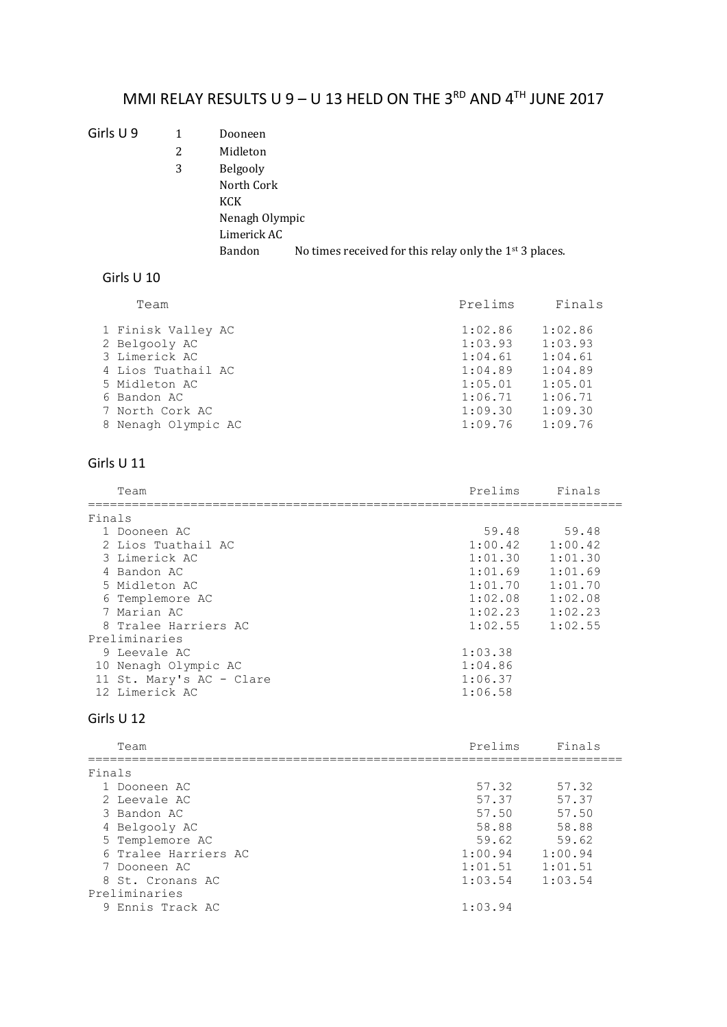# MMI RELAY RESULTS U 9 – U 13 HELD ON THE 3<sup>RD</sup> AND  $4^{TH}$  JUNE 2017

### Girls U 9 1 Dooneen

2 Midleton 3 Belgooly North Cork KCK Nenagh Olympic Limerick AC Bandon No times received for this relay only the 1<sup>st</sup> 3 places.

## Girls U 10

| Team                | Prelims | Finals  |
|---------------------|---------|---------|
| 1 Finisk Valley AC  | 1:02.86 | 1:02.86 |
| 2 Belgooly AC       | 1:03.93 | 1:03.93 |
| 3 Limerick AC       | 1:04.61 | 1:04.61 |
| 4 Lios Tuathail AC  | 1:04.89 | 1:04.89 |
| 5 Midleton AC       | 1:05.01 | 1:05.01 |
| 6 Bandon AC         | 1:06.71 | 1:06.71 |
| 7 North Cork AC     | 1:09.30 | 1:09.30 |
| 8 Nenagh Olympic AC | 1:09.76 | 1:09.76 |

## Girls U 11

|               | Team                     | Prelims | Finals  |  |
|---------------|--------------------------|---------|---------|--|
|               | Finals                   |         |         |  |
|               | 1 Dooneen AC             | 59.48   | 59.48   |  |
|               | 2 Lios Tuathail AC       | 1:00.42 | 1:00.42 |  |
|               | 3 Limerick AC            | 1:01.30 | 1:01.30 |  |
|               | 4 Bandon AC              | 1:01.69 | 1:01.69 |  |
|               | 5 Midleton AC            | 1:01.70 | 1:01.70 |  |
|               | 6 Templemore AC          | 1:02.08 | 1:02.08 |  |
|               | 7 Marian AC              | 1:02.23 | 1:02.23 |  |
|               | 8 Tralee Harriers AC     | 1:02.55 | 1:02.55 |  |
| Preliminaries |                          |         |         |  |
|               | 9 Leevale AC             | 1:03.38 |         |  |
|               | 10 Nenagh Olympic AC     | 1:04.86 |         |  |
|               | 11 St. Mary's AC - Clare | 1:06.37 |         |  |
|               | 12 Limerick AC           | 1:06.58 |         |  |

### Girls U 12

| Team                 | Prelims | Finals  |
|----------------------|---------|---------|
| Finals               |         |         |
| 1 Dooneen AC         | 57.32   | 57.32   |
| 2 Leevale AC         | 57.37   | 57.37   |
| 3 Bandon AC          | 57.50   | 57.50   |
| 4 Belgooly AC        | 58.88   | 58.88   |
| 5 Templemore AC      | 59.62   | 59.62   |
| 6 Tralee Harriers AC | 1:00.94 | 1:00.94 |
| 7 Dooneen AC         | 1:01.51 | 1:01.51 |
| 8 St. Cronans AC     | 1:03.54 | 1:03.54 |
| Preliminaries        |         |         |
| 9 Ennis Track AC     | 1:03.94 |         |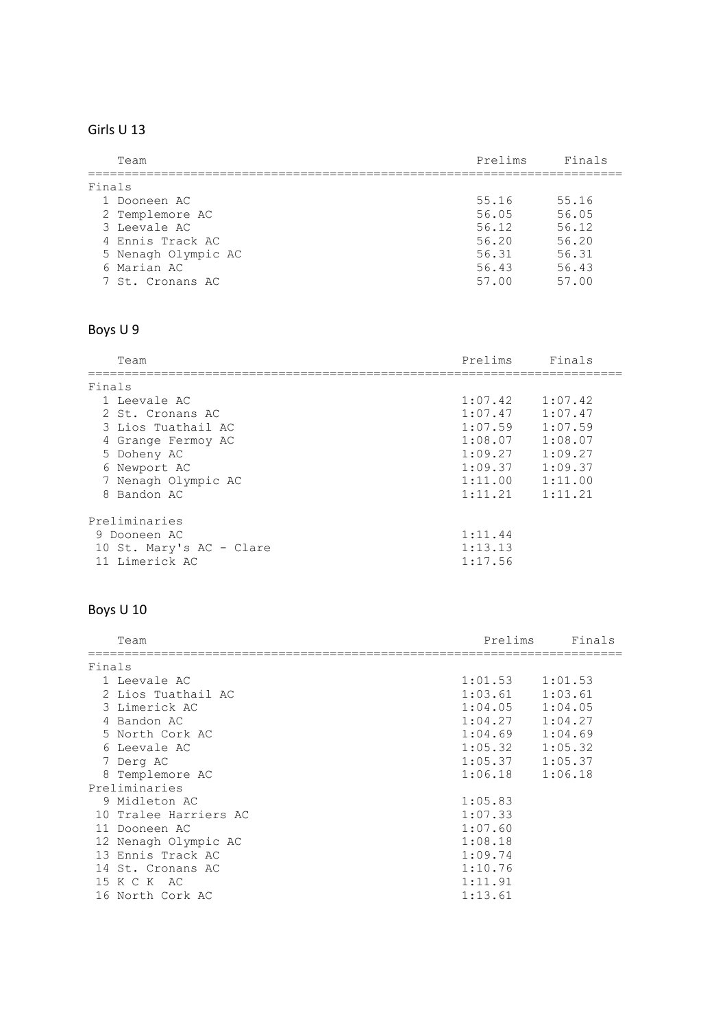## Girls U 13

|        | Team                | Prelims | Finals |
|--------|---------------------|---------|--------|
| Finals |                     |         |        |
|        | 1 Dooneen AC        | 55.16   | 55.16  |
|        | 2 Templemore AC     | 56.05   | 56.05  |
|        | 3 Leevale AC        | 56.12   | 56.12  |
|        | 4 Ennis Track AC    | 56.20   | 56.20  |
|        | 5 Nenagh Olympic AC | 56.31   | 56.31  |
|        | 6 Marian AC         | 56.43   | 56.43  |
|        | 7 St. Cronans AC    | 57.00   | 57.00  |

# Boys U 9

| Team                     | Prelims | Finals  |  |  |
|--------------------------|---------|---------|--|--|
| Finals                   |         |         |  |  |
| 1 Leevale AC             | 1:07.42 | 1:07.42 |  |  |
| 2 St. Cronans AC         | 1:07.47 | 1:07.47 |  |  |
| 3 Lios Tuathail AC       | 1:07.59 | 1:07.59 |  |  |
| 4 Grange Fermoy AC       | 1:08.07 | 1:08.07 |  |  |
| 5 Doheny AC              | 1:09.27 | 1:09.27 |  |  |
| 6 Newport AC             | 1:09.37 | 1:09.37 |  |  |
| 7 Nenagh Olympic AC      | 1:11.00 | 1:11.00 |  |  |
| 8 Bandon AC              | 1:11.21 | 1:11.21 |  |  |
| Preliminaries            |         |         |  |  |
| 9 Dooneen AC             | 1:11.44 |         |  |  |
| 10 St. Mary's AC - Clare | 1:13.13 |         |  |  |
| 11 Limerick AC           | 1:17.56 |         |  |  |

# Boys U 10

|        | Team                  | Prelims | Finals  |
|--------|-----------------------|---------|---------|
| Finals |                       |         |         |
|        | 1 Leevale AC          | 1:01.53 | 1:01.53 |
|        | 2 Lios Tuathail AC    | 1:03.61 | 1:03.61 |
|        | 3 Limerick AC         | 1:04.05 | 1:04.05 |
|        | 4 Bandon AC           | 1:04.27 | 1:04.27 |
|        | 5 North Cork AC       | 1:04.69 | 1:04.69 |
|        | 6 Leevale AC          | 1:05.32 | 1:05.32 |
|        | 7 Derg AC             | 1:05.37 | 1:05.37 |
|        | 8 Templemore AC       | 1:06.18 | 1:06.18 |
|        | Preliminaries         |         |         |
|        | 9 Midleton AC         | 1:05.83 |         |
|        | 10 Tralee Harriers AC | 1:07.33 |         |
|        | 11 Dooneen AC         | 1:07.60 |         |
|        | 12 Nenagh Olympic AC  | 1:08.18 |         |
|        | 13 Ennis Track AC     | 1:09.74 |         |
|        | 14 St. Cronans AC     | 1:10.76 |         |
|        | 15 K C K AC           | 1:11.91 |         |
|        | 16 North Cork AC      | 1:13.61 |         |